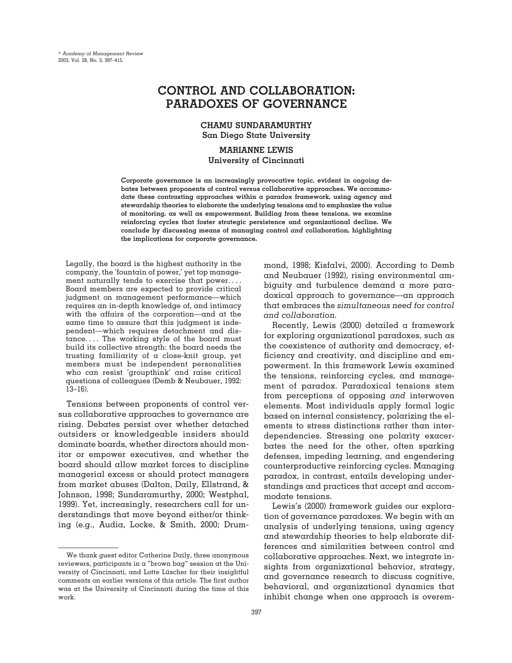# **CONTROL AND COLLABORATION: PARADOXES OF GOVERNANCE**

# **CHAMU SUNDARAMURTHY San Diego State University**

## **MARIANNE LEWIS University of Cincinnati**

**Corporate governance is an increasingly provocative topic, evident in ongoing debates between proponents of control versus collaborative approaches. We accommodate these contrasting approaches within a paradox framework, using agency and stewardship theories to elaborate the underlying tensions and to emphasize the value of monitoring, as well as empowerment. Building from these tensions, we examine reinforcing cycles that foster strategic persistence and organizational decline. We conclude by discussing means of managing control** *and* **collaboration, highlighting the implications for corporate governance.**

Legally, the board is the highest authority in the company, the 'fountain of power,' yet top management naturally tends to exercise that power.... Board members are expected to provide critical judgment on management performance—which requires an in-depth knowledge of, and intimacy with the affairs of the corporation—and at the same time to assure that this judgment is independent—which requires detachment and distance. . . . The working style of the board must build its collective strength: the board needs the trusting familiarity of a close-knit group, yet members must be independent personalities who can resist 'groupthink' and raise critical questions of colleagues (Demb & Neubauer, 1992:  $13-16$ ).

Tensions between proponents of control versus collaborative approaches to governance are rising. Debates persist over whether detached outsiders or knowledgeable insiders should dominate boards, whether directors should monitor or empower executives, and whether the board should allow market forces to discipline managerial excess or should protect managers from market abuses (Dalton, Daily, Ellstrand, & Johnson, 1998; Sundaramurthy, 2000; Westphal, 1999). Yet, increasingly, researchers call for understandings that move beyond either/or thinking (e.g., Audia, Locke, & Smith, 2000; Drummond, 1998; Kisfalvi, 2000). According to Demb and Neubauer (1992), rising environmental ambiguity and turbulence demand a more paradoxical approach to governance—an approach that embraces the *simultaneous need for control and collaboration.*

Recently, Lewis (2000) detailed a framework for exploring organizational paradoxes, such as the coexistence of authority and democracy, efficiency and creativity, and discipline and empowerment. In this framework Lewis examined the tensions, reinforcing cycles, and management of paradox. Paradoxical tensions stem from perceptions of opposing *and* interwoven elements. Most individuals apply formal logic based on internal consistency, polarizing the elements to stress distinctions rather than interdependencies. Stressing one polarity exacerbates the need for the other, often sparking defenses, impeding learning, and engendering counterproductive reinforcing cycles. Managing paradox, in contrast, entails developing understandings and practices that accept and accommodate tensions.

Lewis's (2000) framework guides our exploration of governance paradoxes. We begin with an analysis of underlying tensions, using agency and stewardship theories to help elaborate differences and similarities between control and collaborative approaches. Next, we integrate insights from organizational behavior, strategy, and governance research to discuss cognitive, behavioral, and organizational dynamics that inhibit change when one approach is overem-

We thank guest editor Catherine Daily, three anonymous reviewers, participants in  $\alpha$  "brown bag" session at the University of Cincinnati, and Lotte Lüscher for their insightful comments on earlier versions of this article. The first author was at the University of Cincinnati during the time of this work.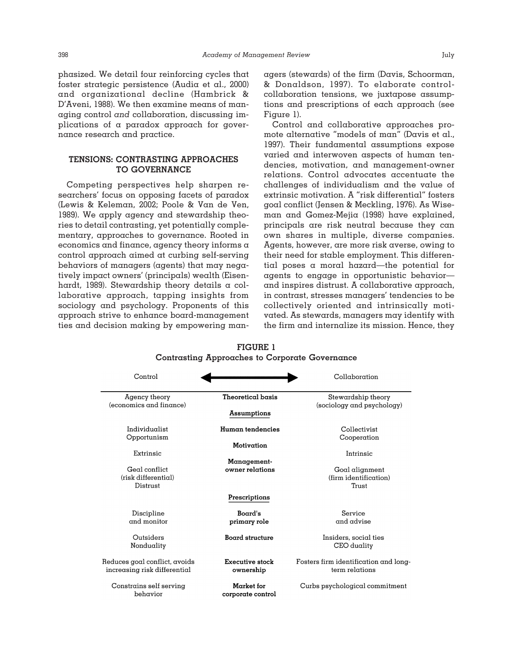phasized. We detail four reinforcing cycles that foster strategic persistence (Audia et al., 2000) and organizational decline (Hambrick & D'Aveni, 1988). We then examine means of managing control *and* collaboration, discussing implications of a paradox approach for governance research and practice.

## **TENSIONS: CONTRASTING APPROACHES TO GOVERNANCE**

Competing perspectives help sharpen researchers' focus on opposing facets of paradox (Lewis & Keleman, 2002; Poole & Van de Ven, 1989). We apply agency and stewardship theories to detail contrasting, yet potentially complementary, approaches to governance. Rooted in economics and finance, agency theory informs a control approach aimed at curbing self-serving behaviors of managers (agents) that may negatively impact owners' (principals) wealth (Eisenhardt, 1989). Stewardship theory details a collaborative approach, tapping insights from sociology and psychology. Proponents of this approach strive to enhance board-management ties and decision making by empowering managers (stewards) of the firm (Davis, Schoorman, & Donaldson, 1997). To elaborate controlcollaboration tensions, we juxtapose assumptions and prescriptions of each approach (see Figure 1).

Control and collaborative approaches promote alternative "models of man" (Davis et al., 1997). Their fundamental assumptions expose varied and interwoven aspects of human tendencies, motivation, and management-owner relations. Control advocates accentuate the challenges of individualism and the value of extrinsic motivation. A "risk differential" fosters goal conflict (Jensen & Meckling, 1976). As Wiseman and Gomez-Mejia (1998) have explained, principals are risk neutral because they can own shares in multiple, diverse companies. Agents, however, are more risk averse, owing to their need for stable employment. This differential poses a moral hazard—the potential for agents to engage in opportunistic behavior and inspires distrust. A collaborative approach, in contrast, stresses managers' tendencies to be collectively oriented and intrinsically motivated. As stewards, managers may identify with the firm and internalize its mission. Hence, they

Control Collaboration Agency theory Theoretical basis Stewardship theory (economics and finance) (sociology and psychology) Assumptions Individualist Human tendencies Collectivist Opportunism Cooperation Motivation Extrinsic Intrinsic Management-Geal conflict owner relations Goal alignment (firm identification) (risk differential) Distrust Trust Prescriptions Discipline Service Board's and monitor primary role and advise Outsiders **Board structure** Insiders, social ties Nonduality CEO duality Fosters firm identification and long-Reduces goal conflict, avoids Executive stock increasing risk differential ownership  $term$  relations Constrains self serving Curbs psychological commitment Market for behavior corporate control

**FIGURE 1 Contrasting Approaches to Corporate Governance**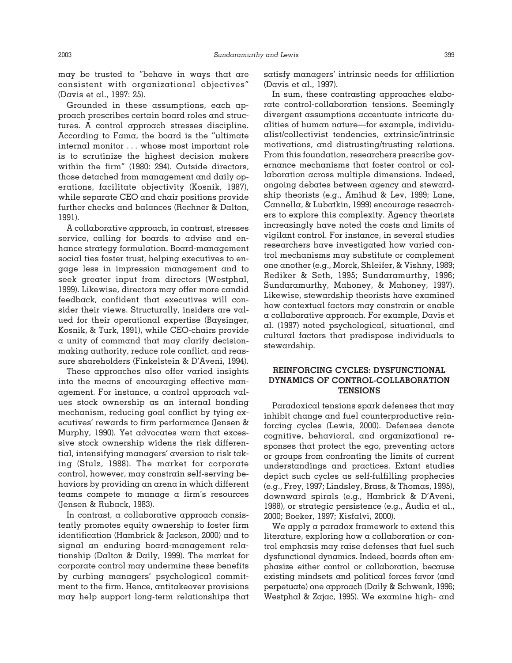may be trusted to "behave in ways that are consistent with organizational objectives" (Davis et al., 1997: 25).

Grounded in these assumptions, each approach prescribes certain board roles and structures. A control approach stresses discipline. According to Fama, the board is the "ultimate internal monitor . . . whose most important role is to scrutinize the highest decision makers within the firm" (1980: 294). Outside directors, those detached from management and daily operations, facilitate objectivity (Kosnik, 1987), while separate CEO and chair positions provide further checks and balances (Rechner & Dalton, 1991).

A collaborative approach, in contrast, stresses service, calling for boards to advise and enhance strategy formulation. Board-management social ties foster trust, helping executives to engage less in impression management and to seek greater input from directors (Westphal, 1999). Likewise, directors may offer more candid feedback, confident that executives will consider their views. Structurally, insiders are valued for their operational expertise (Baysinger, Kosnik, & Turk, 1991), while CEO-chairs provide a unity of command that may clarify decisionmaking authority, reduce role conflict, and reassure shareholders (Finkelstein & D'Aveni, 1994).

These approaches also offer varied insights into the means of encouraging effective management. For instance, a control approach values stock ownership as an internal bonding mechanism, reducing goal conflict by tying executives' rewards to firm performance (Jensen & Murphy, 1990). Yet advocates warn that excessive stock ownership widens the risk differential, intensifying managers' aversion to risk taking (Stulz, 1988). The market for corporate control, however, may constrain self-serving behaviors by providing an arena in which different teams compete to manage a firm's resources (Jensen & Ruback, 1983).

In contrast, a collaborative approach consistently promotes equity ownership to foster firm identification (Hambrick & Jackson, 2000) and to signal an enduring board-management relationship (Dalton & Daily, 1999). The market for corporate control may undermine these benefits by curbing managers' psychological commitment to the firm. Hence, antitakeover provisions may help support long-term relationships that satisfy managers' intrinsic needs for affiliation (Davis et al., 1997).

In sum, these contrasting approaches elaborate control-collaboration tensions. Seemingly divergent assumptions accentuate intricate dualities of human nature—for example, individualist/collectivist tendencies, extrinsic/intrinsic motivations, and distrusting/trusting relations. From this foundation, researchers prescribe governance mechanisms that foster control or collaboration across multiple dimensions. Indeed, ongoing debates between agency and stewardship theorists (e.g., Amihud & Lev, 1999; Lane, Cannella, & Lubatkin, 1999) encourage researchers to explore this complexity. Agency theorists increasingly have noted the costs and limits of vigilant control. For instance, in several studies researchers have investigated how varied control mechanisms may substitute or complement one another (e.g., Morck, Shleifer, & Vishny, 1989; Rediker & Seth, 1995; Sundaramurthy, 1996; Sundaramurthy, Mahoney, & Mahoney, 1997). Likewise, stewardship theorists have examined how contextual factors may constrain or enable a collaborative approach. For example, Davis et al. (1997) noted psychological, situational, and cultural factors that predispose individuals to stewardship.

## **REINFORCING CYCLES: DYSFUNCTIONAL DYNAMICS OF CONTROL-COLLABORATION TENSIONS**

Paradoxical tensions spark defenses that may inhibit change and fuel counterproductive reinforcing cycles (Lewis, 2000). Defenses denote cognitive, behavioral, and organizational responses that protect the ego, preventing actors or groups from confronting the limits of current understandings and practices. Extant studies depict such cycles as self-fulfilling prophecies (e.g., Frey, 1997; Lindsley, Brass, & Thomas, 1995), downward spirals (e.g., Hambrick & D'Aveni, 1988), or strategic persistence (e.g., Audia et al., 2000; Boeker, 1997; Kisfalvi, 2000).

We apply a paradox framework to extend this literature, exploring how a collaboration *or* control emphasis may raise defenses that fuel such dysfunctional dynamics. Indeed, boards often emphasize either control or collaboration, because existing mindsets and political forces favor (and perpetuate) one approach (Daily & Schwenk, 1996; Westphal & Zajac, 1995). We examine high- and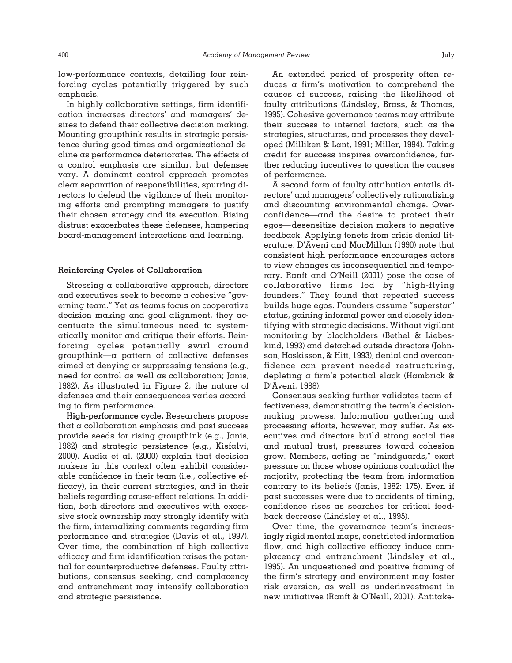low-performance contexts, detailing four reinforcing cycles potentially triggered by such emphasis.

In highly collaborative settings, firm identification increases directors' and managers' desires to defend their collective decision making. Mounting groupthink results in strategic persistence during good times and organizational decline as performance deteriorates. The effects of a control emphasis are similar, but defenses vary. A dominant control approach promotes clear separation of responsibilities, spurring directors to defend the vigilance of their monitoring efforts and prompting managers to justify their chosen strategy and its execution. Rising distrust exacerbates these defenses, hampering board-management interactions and learning.

## **Reinforcing Cycles of Collaboration**

Stressing a collaborative approach, directors and executives seek to become a cohesive "governing team." Yet as teams focus on cooperative decision making and goal alignment, they accentuate the simultaneous need to systematically monitor and critique their efforts. Reinforcing cycles potentially swirl around groupthink—a pattern of collective defenses aimed at denying or suppressing tensions (e.g., need for control as well as collaboration; Janis, 1982). As illustrated in Figure 2, the nature of defenses and their consequences varies according to firm performance.

**High-performance cycle.** Researchers propose that a collaboration emphasis and past success provide seeds for rising groupthink (e.g., Janis, 1982) and strategic persistence (e.g., Kisfalvi, 2000). Audia et al. (2000) explain that decision makers in this context often exhibit considerable confidence in their team (i.e., collective efficacy), in their current strategies, and in their beliefs regarding cause-effect relations. In addition, both directors and executives with excessive stock ownership may strongly identify with the firm, internalizing comments regarding firm performance and strategies (Davis et al., 1997). Over time, the combination of high collective efficacy and firm identification raises the potential for counterproductive defenses. Faulty attributions, consensus seeking, and complacency and entrenchment may intensify collaboration and strategic persistence.

An extended period of prosperity often reduces a firm's motivation to comprehend the causes of success, raising the likelihood of faulty attributions (Lindsley, Brass, & Thomas, 1995). Cohesive governance teams may attribute their success to internal factors, such as the strategies, structures, and processes they developed (Milliken & Lant, 1991; Miller, 1994). Taking credit for success inspires overconfidence, further reducing incentives to question the causes of performance.

A second form of faulty attribution entails directors' and managers' collectively rationalizing and discounting environmental change. Overconfidence—and the desire to protect their egos—desensitize decision makers to negative feedback. Applying tenets from crisis denial literature, D'Aveni and MacMillan (1990) note that consistent high performance encourages actors to view changes as inconsequential and temporary. Ranft and O'Neill (2001) pose the case of collaborative firms led by "high-flying founders." They found that repeated success builds huge egos. Founders assume "superstar" status, gaining informal power and closely identifying with strategic decisions. Without vigilant monitoring by blockholders (Bethel & Liebeskind, 1993) and detached outside directors (Johnson, Hoskisson, & Hitt, 1993), denial and overconfidence can prevent needed restructuring, depleting a firm's potential slack (Hambrick & D'Aveni, 1988).

Consensus seeking further validates team effectiveness, demonstrating the team's decisionmaking prowess. Information gathering and processing efforts, however, may suffer. As executives and directors build strong social ties and mutual trust, pressures toward cohesion grow. Members, acting as "mindguards," exert pressure on those whose opinions contradict the majority, protecting the team from information contrary to its beliefs (Janis, 1982: 175). Even if past successes were due to accidents of timing, confidence rises as searches for critical feedback decrease (Lindsley et al., 1995).

Over time, the governance team's increasingly rigid mental maps, constricted information flow, and high collective efficacy induce complacency and entrenchment (Lindsley et al., 1995). An unquestioned and positive framing of the firm's strategy and environment may foster risk aversion, as well as underinvestment in new initiatives (Ranft & O'Neill, 2001). Antitake-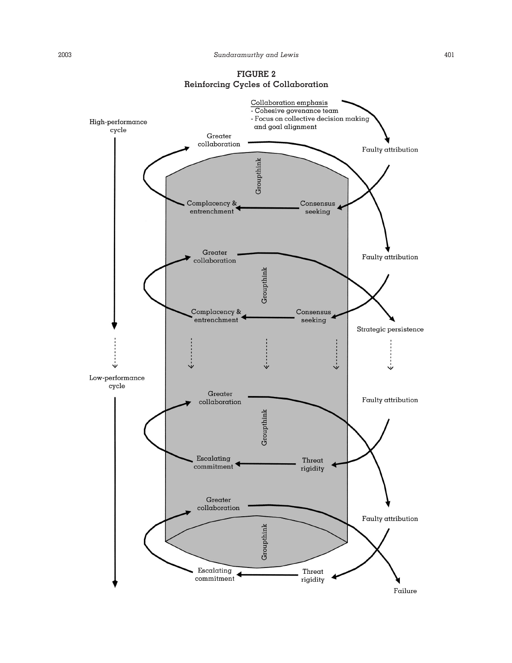

# **FIGURE 2 Reinforcing Cycles of Collaboration**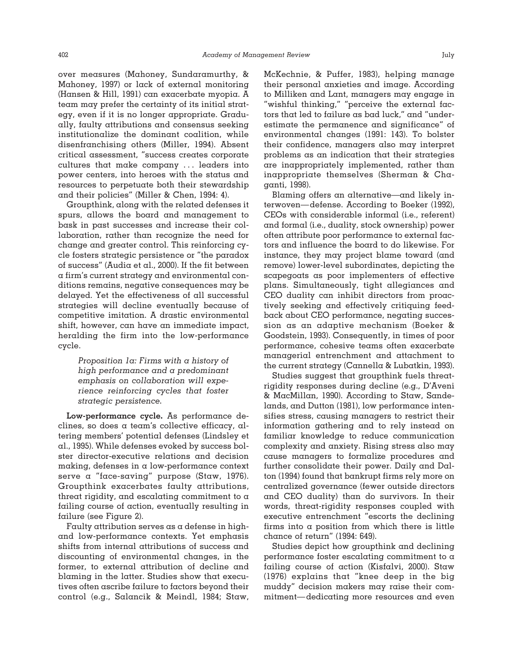over measures (Mahoney, Sundaramurthy, & Mahoney, 1997) or lack of external monitoring (Hansen & Hill, 1991) can exacerbate myopia. A team may prefer the certainty of its initial strategy, even if it is no longer appropriate. Gradually, faulty attributions and consensus seeking institutionalize the dominant coalition, while disenfranchising others (Miller, 1994). Absent critical assessment, "success creates corporate cultures that make company . . . leaders into power centers, into heroes with the status and resources to perpetuate both their stewardship and their policies" (Miller & Chen, 1994: 4).

Groupthink, along with the related defenses it spurs, allows the board and management to bask in past successes and increase their collaboration, rather than recognize the need for change and greater control. This reinforcing cycle fosters strategic persistence or "the paradox of success" (Audia et al., 2000). If the fit between a firm's current strategy and environmental conditions remains, negative consequences may be delayed. Yet the effectiveness of all successful strategies will decline eventually because of competitive imitation. A drastic environmental shift, however, can have an immediate impact, heralding the firm into the low-performance cycle.

> *Proposition 1a: Firms with a history of high performance and a predominant emphasis on collaboration will experience reinforcing cycles that foster strategic persistence.*

**Low-performance cycle.** As performance declines, so does a team's collective efficacy, altering members' potential defenses (Lindsley et al., 1995). While defenses evoked by success bolster director-executive relations and decision making, defenses in a low-performance context serve a "face-saving" purpose (Staw, 1976). Groupthink exacerbates faulty attributions, threat rigidity, and escalating commitment to a failing course of action, eventually resulting in failure (see Figure 2).

Faulty attribution serves as a defense in highand low-performance contexts. Yet emphasis shifts from internal attributions of success and discounting of environmental changes, in the former, to external attribution of decline and blaming in the latter. Studies show that executives often ascribe failure to factors beyond their control (e.g., Salancik & Meindl, 1984; Staw, McKechnie, & Puffer, 1983), helping manage their personal anxieties and image. According to Milliken and Lant, managers may engage in "wishful thinking," "perceive the external factors that led to failure as bad luck," and "underestimate the permanence and significance" of environmental changes (1991: 143). To bolster their confidence, managers also may interpret problems as an indication that their strategies are inappropriately implemented, rather than inappropriate themselves (Sherman & Chaganti, 1998).

Blaming offers an alternative—and likely interwoven—defense. According to Boeker (1992), CEOs with considerable informal (i.e., referent) and formal (i.e., duality, stock ownership) power often attribute poor performance to external factors and influence the board to do likewise. For instance, they may project blame toward (and remove) lower-level subordinates, depicting the scapegoats as poor implementers of effective plans. Simultaneously, tight allegiances and CEO duality can inhibit directors from proactively seeking and effectively critiquing feedback about CEO performance, negating succession as an adaptive mechanism (Boeker & Goodstein, 1993). Consequently, in times of poor performance, cohesive teams often exacerbate managerial entrenchment and attachment to the current strategy (Cannella & Lubatkin, 1993).

Studies suggest that groupthink fuels threatrigidity responses during decline (e.g., D'Aveni & MacMillan, 1990). According to Staw, Sandelands, and Dutton (1981), low performance intensifies stress, causing managers to restrict their information gathering and to rely instead on familiar knowledge to reduce communication complexity and anxiety. Rising stress also may cause managers to formalize procedures and further consolidate their power. Daily and Dalton (1994) found that bankrupt firms rely more on centralized governance (fewer outside directors and CEO duality) than do survivors. In their words, threat-rigidity responses coupled with executive entrenchment "escorts the declining firms into  $\alpha$  position from which there is little chance of return" (1994: 649).

Studies depict how groupthink and declining performance foster escalating commitment to a failing course of action (Kisfalvi, 2000). Staw (1976) explains that "knee deep in the big muddy" decision makers may raise their commitment—dedicating more resources and even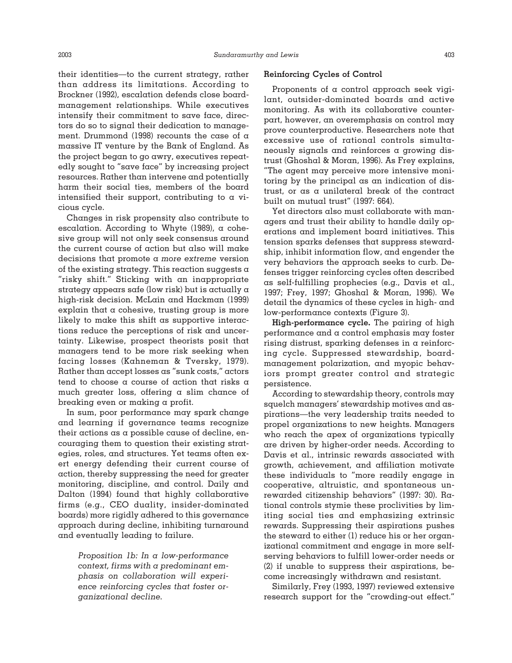their identities—to the current strategy, rather than address its limitations. According to Brockner (1992), escalation defends close boardmanagement relationships. While executives intensify their commitment to save face, directors do so to signal their dedication to management. Drummond (1998) recounts the case of  $\alpha$ massive IT venture by the Bank of England. As the project began to go awry, executives repeatedly sought to "save face" by increasing project resources. Rather than intervene and potentially harm their social ties, members of the board intensified their support, contributing to a vicious cycle.

Changes in risk propensity also contribute to escalation. According to Whyte (1989), a cohesive group will not only seek consensus around the current course of action but also will make decisions that promote a *more extreme* version of the existing strategy. This reaction suggests  $\alpha$ "risky shift." Sticking with an inappropriate strategy appears safe (low risk) but is actually a high-risk decision. McLain and Hackman (1999) explain that a cohesive, trusting group is more likely to make this shift as supportive interactions reduce the perceptions of risk and uncertainty. Likewise, prospect theorists posit that managers tend to be more risk seeking when facing losses (Kahneman & Tversky, 1979). Rather than accept losses as "sunk costs," actors tend to choose a course of action that risks a much greater loss, offering a slim chance of breaking even or making a profit.

In sum, poor performance may spark change and learning if governance teams recognize their actions as a possible cause of decline, encouraging them to question their existing strategies, roles, and structures. Yet teams often exert energy defending their current course of action, thereby suppressing the need for greater monitoring, discipline, and control. Daily and Dalton (1994) found that highly collaborative firms (e.g., CEO duality, insider-dominated boards) more rigidly adhered to this governance approach during decline, inhibiting turnaround and eventually leading to failure.

> *Proposition 1b: In a low-performance context, firms with a predominant emphasis on collaboration will experience reinforcing cycles that foster organizational decline.*

#### **Reinforcing Cycles of Control**

Proponents of a control approach seek vigilant, outsider-dominated boards and active monitoring. As with its collaborative counterpart, however, an overemphasis on control may prove counterproductive. Researchers note that excessive use of rational controls simultaneously signals and reinforces a growing distrust (Ghoshal & Moran, 1996). As Frey explains, "The agent may perceive more intensive monitoring by the principal as an indication of distrust, or as a unilateral break of the contract built on mutual trust" (1997: 664).

Yet directors also must collaborate with managers and trust their ability to handle daily operations and implement board initiatives. This tension sparks defenses that suppress stewardship, inhibit information flow, and engender the very behaviors the approach seeks to curb. Defenses trigger reinforcing cycles often described as self-fulfilling prophecies (e.g., Davis et al., 1997; Frey, 1997; Ghoshal & Moran, 1996). We detail the dynamics of these cycles in high- and low-performance contexts (Figure 3).

**High-performance cycle.** The pairing of high performance and a control emphasis may foster rising distrust, sparking defenses in a reinforcing cycle. Suppressed stewardship, boardmanagement polarization, and myopic behaviors prompt greater control and strategic persistence.

According to stewardship theory, controls may squelch managers' stewardship motives and aspirations—the very leadership traits needed to propel organizations to new heights. Managers who reach the apex of organizations typically are driven by higher-order needs. According to Davis et al., intrinsic rewards associated with growth, achievement, and affiliation motivate these individuals to "more readily engage in cooperative, altruistic, and spontaneous unrewarded citizenship behaviors" (1997: 30). Rational controls stymie these proclivities by limiting social ties and emphasizing extrinsic rewards. Suppressing their aspirations pushes the steward to either (1) reduce his or her organizational commitment and engage in more selfserving behaviors to fulfill lower-order needs or (2) if unable to suppress their aspirations, become increasingly withdrawn and resistant.

Similarly, Frey (1993, 1997) reviewed extensive research support for the "crowding-out effect."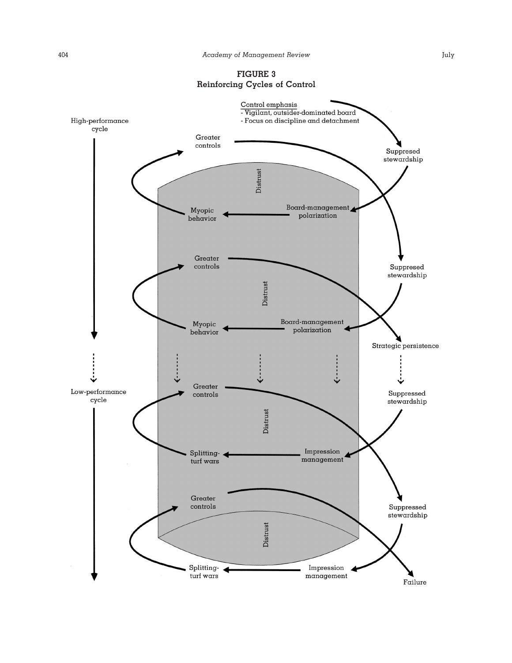**FIGURE 3 Reinforcing Cycles of Control**

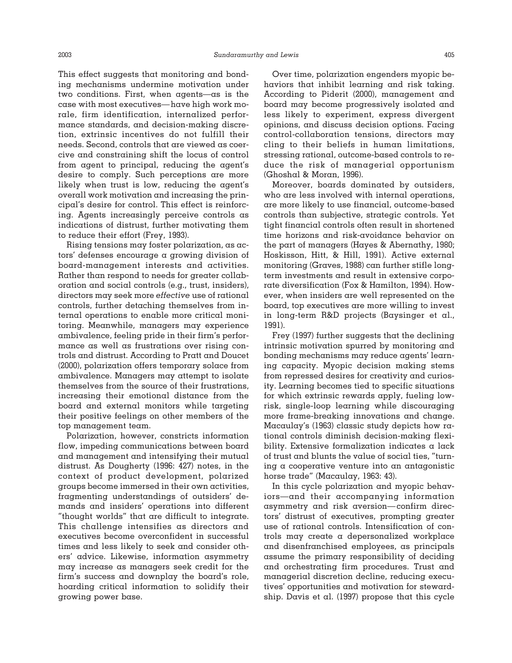This effect suggests that monitoring and bonding mechanisms undermine motivation under two conditions. First, when agents—as is the case with most executives—have high work morale, firm identification, internalized performance standards, and decision-making discretion, extrinsic incentives do not fulfill their needs. Second, controls that are viewed as coercive and constraining shift the locus of control from agent to principal, reducing the agent's desire to comply. Such perceptions are more likely when trust is low, reducing the agent's overall work motivation and increasing the principal's desire for control. This effect is reinforcing. Agents increasingly perceive controls as indications of distrust, further motivating them to reduce their effort (Frey, 1993).

Rising tensions may foster polarization, as actors' defenses encourage a growing division of board-management interests and activities. Rather than respond to needs for greater collaboration and social controls (e.g., trust, insiders), directors may seek more *effective* use of rational controls, further detaching themselves from internal operations to enable more critical monitoring. Meanwhile, managers may experience ambivalence, feeling pride in their firm's performance as well as frustrations over rising controls and distrust. According to Pratt and Doucet (2000), polarization offers temporary solace from ambivalence. Managers may attempt to isolate themselves from the source of their frustrations, increasing their emotional distance from the board and external monitors while targeting their positive feelings on other members of the top management team.

Polarization, however, constricts information flow, impeding communications between board and management and intensifying their mutual distrust. As Dougherty (1996: 427) notes, in the context of product development, polarized groups become immersed in their own activities, fragmenting understandings of outsiders' demands and insiders' operations into different "thought worlds" that are difficult to integrate. This challenge intensifies as directors and executives become overconfident in successful times and less likely to seek and consider others' advice. Likewise, information asymmetry may increase as managers seek credit for the firm's success and downplay the board's role, hoarding critical information to solidify their growing power base.

Over time, polarization engenders myopic behaviors that inhibit learning and risk taking. According to Piderit (2000), management and board may become progressively isolated and less likely to experiment, express divergent opinions, and discuss decision options. Facing control-collaboration tensions, directors may cling to their beliefs in human limitations, stressing rational, outcome-based controls to reduce the risk of managerial opportunism (Ghoshal & Moran, 1996).

Moreover, boards dominated by outsiders, who are less involved with internal operations, are more likely to use financial, outcome-based controls than subjective, strategic controls. Yet tight financial controls often result in shortened time horizons and risk-avoidance behavior on the part of managers (Hayes & Abernathy, 1980; Hoskisson, Hitt, & Hill, 1991). Active external monitoring (Graves, 1988) can further stifle longterm investments and result in extensive corporate diversification (Fox & Hamilton, 1994). However, when insiders are well represented on the board, top executives are more willing to invest in long-term R&D projects (Baysinger et al., 1991).

Frey (1997) further suggests that the declining intrinsic motivation spurred by monitoring and bonding mechanisms may reduce agents' learning capacity. Myopic decision making stems from repressed desires for creativity and curiosity. Learning becomes tied to specific situations for which extrinsic rewards apply, fueling lowrisk, single-loop learning while discouraging more frame-breaking innovations and change. Macaulay's (1963) classic study depicts how rational controls diminish decision-making flexibility. Extensive formalization indicates a lack of trust and blunts the value of social ties, "turning a cooperative venture into an antagonistic horse trade" (Macaulay, 1963: 43).

In this cycle polarization and myopic behaviors—and their accompanying information asymmetry and risk aversion—confirm directors' distrust of executives, prompting greater use of rational controls. Intensification of controls may create a depersonalized workplace and disenfranchised employees, as principals assume the primary responsibility of deciding and orchestrating firm procedures. Trust and managerial discretion decline, reducing executives' opportunities and motivation for stewardship. Davis et al. (1997) propose that this cycle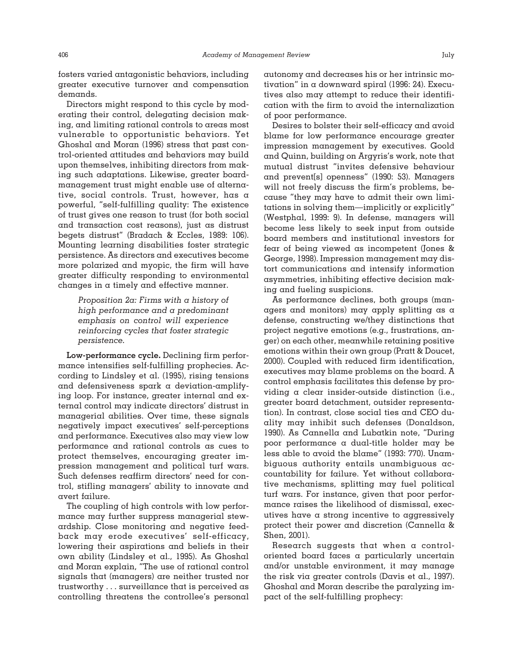fosters varied antagonistic behaviors, including greater executive turnover and compensation demands.

Directors might respond to this cycle by moderating their control, delegating decision making, and limiting rational controls to areas most vulnerable to opportunistic behaviors. Yet Ghoshal and Moran (1996) stress that past control-oriented attitudes and behaviors may build upon themselves, inhibiting directors from making such adaptations. Likewise, greater boardmanagement trust might enable use of alternative, social controls. Trust, however, has a powerful, "self-fulfilling quality: The existence of trust gives one reason to trust (for both social and transaction cost reasons), just as distrust begets distrust" (Bradach & Eccles, 1989: 106). Mounting learning disabilities foster strategic persistence. As directors and executives become more polarized and myopic, the firm will have greater difficulty responding to environmental changes in a timely and effective manner.

> *Proposition 2a: Firms with a history of high performance and a predominant emphasis on control will experience reinforcing cycles that foster strategic persistence.*

**Low-performance cycle.** Declining firm performance intensifies self-fulfilling prophecies. According to Lindsley et al. (1995), rising tensions and defensiveness spark a deviation-amplifying loop. For instance, greater internal and external control may indicate directors' distrust in managerial abilities. Over time, these signals negatively impact executives' self-perceptions and performance. Executives also may view low performance and rational controls as cues to protect themselves, encouraging greater impression management and political turf wars. Such defenses reaffirm directors' need for control, stifling managers' ability to innovate and avert failure.

The coupling of high controls with low performance may further suppress managerial stewardship. Close monitoring and negative feedback may erode executives' self-efficacy, lowering their aspirations and beliefs in their own ability (Lindsley et al., 1995). As Ghoshal and Moran explain, "The use of rational control signals that (managers) are neither trusted nor trustworthy . . . surveillance that is perceived as controlling threatens the controllee's personal

autonomy and decreases his or her intrinsic motivation" in a downward spiral (1996: 24). Executives also may attempt to reduce their identification with the firm to avoid the internalization of poor performance.

Desires to bolster their self-efficacy and avoid blame for low performance encourage greater impression management by executives. Goold and Quinn, building on Argyris's work, note that mutual distrust "invites defensive behaviour and prevent[s] openness" (1990: 53). Managers will not freely discuss the firm's problems, because "they may have to admit their own limitations in solving them—implicitly or explicitly" (Westphal, 1999: 9). In defense, managers will become less likely to seek input from outside board members and institutional investors for fear of being viewed as incompetent (Jones & George, 1998). Impression management may distort communications and intensify information asymmetries, inhibiting effective decision making and fueling suspicions.

As performance declines, both groups (managers and monitors) may apply splitting as a defense, constructing we/they distinctions that project negative emotions (e.g., frustrations, anger) on each other, meanwhile retaining positive emotions within their own group (Pratt & Doucet, 2000). Coupled with reduced firm identification, executives may blame problems on the board. A control emphasis facilitates this defense by providing a clear insider-outside distinction (i.e., greater board detachment, outsider representation). In contrast, close social ties and CEO duality may inhibit such defenses (Donaldson, 1990). As Cannella and Lubatkin note, "During poor performance a dual-title holder may be less able to avoid the blame" (1993: 770). Unambiguous authority entails unambiguous accountability for failure. Yet without collaborative mechanisms, splitting may fuel political turf wars. For instance, given that poor performance raises the likelihood of dismissal, executives have a strong incentive to aggressively protect their power and discretion (Cannella & Shen, 2001).

Research suggests that when a controloriented board faces a particularly uncertain and/or unstable environment, it may manage the risk via greater controls (Davis et al., 1997). Ghoshal and Moran describe the paralyzing impact of the self-fulfilling prophecy: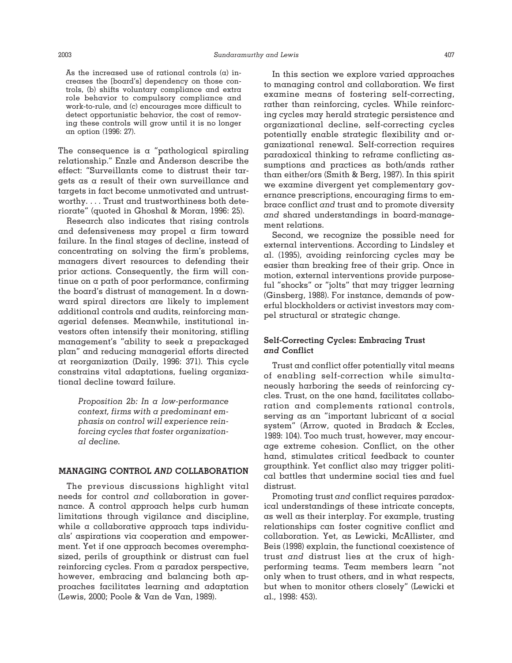As the increased use of rational controls  $(\alpha)$  increases the [board's] dependency on those controls, (b) shifts voluntary compliance and extra role behavior to compulsory compliance and work-to-rule, and (c) encourages more difficult to detect opportunistic behavior, the cost of removing these controls will grow until it is no longer an option (1996: 27).

The consequence is  $\alpha$  "pathological spiraling relationship." Enzle and Anderson describe the effect: "Surveillants come to distrust their targets as a result of their own surveillance and targets in fact become unmotivated and untrustworthy. . . . Trust and trustworthiness both deteriorate" (quoted in Ghoshal & Moran, 1996: 25).

Research also indicates that rising controls and defensiveness may propel a firm toward failure. In the final stages of decline, instead of concentrating on solving the firm's problems, managers divert resources to defending their prior actions. Consequently, the firm will continue on a path of poor performance, confirming the board's distrust of management. In a downward spiral directors are likely to implement additional controls and audits, reinforcing managerial defenses. Meanwhile, institutional investors often intensify their monitoring, stifling management's "ability to seek a prepackaged plan" and reducing managerial efforts directed at reorganization (Daily, 1996: 371). This cycle constrains vital adaptations, fueling organizational decline toward failure.

> *Proposition 2b: In a low-performance context, firms with a predominant emphasis on control will experience reinforcing cycles that foster organizational decline.*

## **MANAGING CONTROL** *AND* **COLLABORATION**

The previous discussions highlight vital needs for control *and* collaboration in governance. A control approach helps curb human limitations through vigilance and discipline, while a collaborative approach taps individuals' aspirations via cooperation and empowerment. Yet if one approach becomes overemphasized, perils of groupthink or distrust can fuel reinforcing cycles. From a paradox perspective, however, embracing and balancing both approaches facilitates learning and adaptation (Lewis, 2000; Poole & Van de Van, 1989).

In this section we explore varied approaches to managing control and collaboration. We first examine means of fostering self-correcting, rather than reinforcing, cycles. While reinforcing cycles may herald strategic persistence and organizational decline, self-correcting cycles potentially enable strategic flexibility and organizational renewal. Self-correction requires paradoxical thinking to reframe conflicting assumptions and practices as both/ands rather than either/ors (Smith & Berg, 1987). In this spirit we examine divergent yet complementary governance prescriptions, encouraging firms to embrace conflict *and* trust and to promote diversity *and* shared understandings in board-management relations.

Second, we recognize the possible need for external interventions. According to Lindsley et al. (1995), avoiding reinforcing cycles may be easier than breaking free of their grip. Once in motion, external interventions provide purposeful "shocks" or "jolts" that may trigger learning (Ginsberg, 1988). For instance, demands of powerful blockholders or activist investors may compel structural or strategic change.

## **Self-Correcting Cycles: Embracing Trust** *and* **Conflict**

Trust and conflict offer potentially vital means of enabling self-correction while simultaneously harboring the seeds of reinforcing cycles. Trust, on the one hand, facilitates collaboration and complements rational controls, serving as an "important lubricant of a social system" (Arrow, quoted in Bradach & Eccles, 1989: 104). Too much trust, however, may encourage extreme cohesion. Conflict, on the other hand, stimulates critical feedback to counter groupthink. Yet conflict also may trigger political battles that undermine social ties and fuel distrust.

Promoting trust *and* conflict requires paradoxical understandings of these intricate concepts, as well as their interplay. For example, trusting relationships can foster cognitive conflict and collaboration. Yet, as Lewicki, McAllister, and Beis (1998) explain, the functional coexistence of trust *and* distrust lies at the crux of highperforming teams. Team members learn "not only when to trust others, and in what respects, but when to monitor others closely" (Lewicki et al., 1998: 453).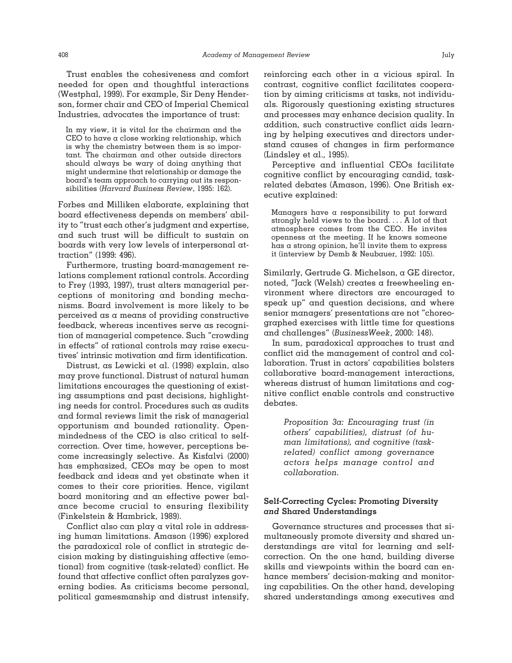Trust enables the cohesiveness and comfort needed for open and thoughtful interactions (Westphal, 1999). For example, Sir Deny Henderson, former chair and CEO of Imperial Chemical Industries, advocates the importance of trust:

In my view, it is vital for the chairman and the CEO to have a close working relationship, which is why the chemistry between them is so important. The chairman and other outside directors should always be wary of doing anything that might undermine that relationship or damage the board's team approach to carrying out its responsibilities (*Harvard Business Review*, 1995: 162).

Forbes and Milliken elaborate, explaining that board effectiveness depends on members' ability to "trust each other's judgment and expertise, and such trust will be difficult to sustain on boards with very low levels of interpersonal attraction" (1999: 496).

Furthermore, trusting board-management relations complement rational controls. According to Frey (1993, 1997), trust alters managerial perceptions of monitoring and bonding mechanisms. Board involvement is more likely to be perceived as a means of providing constructive feedback, whereas incentives serve as recognition of managerial competence. Such "crowding in effects" of rational controls may raise executives' intrinsic motivation and firm identification.

Distrust, as Lewicki et al. (1998) explain, also may prove functional. Distrust of natural human limitations encourages the questioning of existing assumptions and past decisions, highlighting needs for control. Procedures such as audits and formal reviews limit the risk of managerial opportunism and bounded rationality. Openmindedness of the CEO is also critical to selfcorrection. Over time, however, perceptions become increasingly selective. As Kisfalvi (2000) has emphasized, CEOs may be open to most feedback and ideas and yet obstinate when it comes to their core priorities. Hence, vigilant board monitoring and an effective power balance become crucial to ensuring flexibility (Finkelstein & Hambrick, 1989).

Conflict also can play a vital role in addressing human limitations. Amason (1996) explored the paradoxical role of conflict in strategic decision making by distinguishing affective (emotional) from cognitive (task-related) conflict. He found that affective conflict often paralyzes governing bodies. As criticisms become personal, political gamesmanship and distrust intensify, reinforcing each other in a vicious spiral. In contrast, cognitive conflict facilitates cooperation by aiming criticisms at tasks, not individuals. Rigorously questioning existing structures and processes may enhance decision quality. In addition, such constructive conflict aids learning by helping executives and directors understand causes of changes in firm performance (Lindsley et al., 1995).

Perceptive and influential CEOs facilitate cognitive conflict by encouraging candid, taskrelated debates (Amason, 1996). One British executive explained:

Managers have a responsibility to put forward strongly held views to the board. . . . A lot of that atmosphere comes from the CEO. He invites openness at the meeting. If he knows someone has a strong opinion, he'll invite them to express it (interview by Demb & Neubauer, 1992: 105).

Similarly, Gertrude G. Michelson, a GE director, noted, "Jack (Welsh) creates a freewheeling environment where directors are encouraged to speak up" and question decisions, and where senior managers' presentations are not "choreographed exercises with little time for questions and challenges" (*BusinessWeek*, 2000: 148).

In sum, paradoxical approaches to trust and conflict aid the management of control and collaboration. Trust in actors' capabilities bolsters collaborative board-management interactions, whereas distrust of human limitations and cognitive conflict enable controls and constructive debates.

> *Proposition 3a: Encouraging trust (in others' capabilities), distrust (of human limitations), and cognitive (taskrelated) conflict among governance actors helps manage control and collaboration.*

## **Self-Correcting Cycles: Promoting Diversity** *and* **Shared Understandings**

Governance structures and processes that simultaneously promote diversity and shared understandings are vital for learning and selfcorrection. On the one hand, building diverse skills and viewpoints within the board can enhance members' decision-making and monitoring capabilities. On the other hand, developing shared understandings among executives and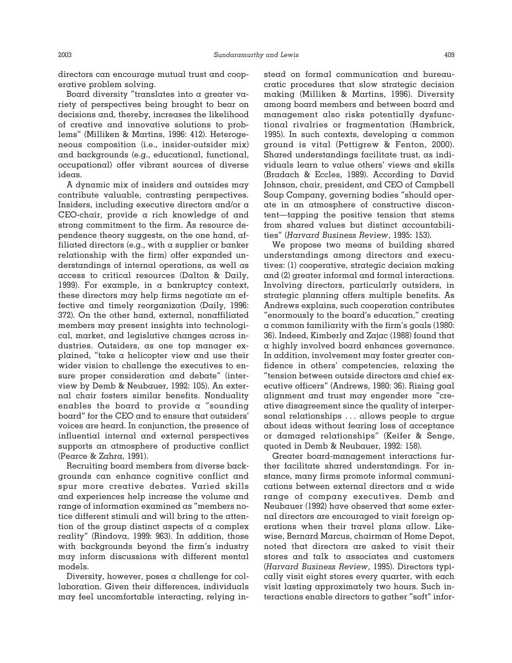directors can encourage mutual trust and cooperative problem solving.

Board diversity "translates into a greater variety of perspectives being brought to bear on decisions and, thereby, increases the likelihood of creative and innovative solutions to problems" (Milliken & Martins, 1996: 412). Heterogeneous composition (i.e., insider-outsider mix) and backgrounds (e.g., educational, functional, occupational) offer vibrant sources of diverse ideas.

A dynamic mix of insiders and outsides may contribute valuable, contrasting perspectives. Insiders, including executive directors and/or a CEO-chair, provide a rich knowledge of and strong commitment to the firm. As resource dependence theory suggests, on the one hand, affiliated directors (e.g., with a supplier or banker relationship with the firm) offer expanded understandings of internal operations, as well as access to critical resources (Dalton & Daily, 1999). For example, in a bankruptcy context, these directors may help firms negotiate an effective and timely reorganization (Daily, 1996: 372). On the other hand, external, nonaffiliated members may present insights into technological, market, and legislative changes across industries. Outsiders, as one top manager explained, "take a helicopter view and use their wider vision to challenge the executives to ensure proper consideration and debate" (interview by Demb & Neubauer, 1992: 105). An external chair fosters similar benefits. Nonduality enables the board to provide  $\alpha$  "sounding board" for the CEO and to ensure that outsiders' voices are heard. In conjunction, the presence of influential internal and external perspectives supports an atmosphere of productive conflict (Pearce & Zahra, 1991).

Recruiting board members from diverse backgrounds can enhance cognitive conflict and spur more creative debates. Varied skills and experiences help increase the volume and range of information examined as "members notice different stimuli and will bring to the attention of the group distinct aspects of a complex reality" (Rindova, 1999: 963). In addition, those with backgrounds beyond the firm's industry may inform discussions with different mental models.

Diversity, however, poses a challenge for collaboration. Given their differences, individuals may feel uncomfortable interacting, relying instead on formal communication and bureaucratic procedures that slow strategic decision making (Milliken & Martins, 1996). Diversity among board members and between board and management also risks potentially dysfunctional rivalries or fragmentation (Hambrick, 1995). In such contexts, developing a common ground is vital (Pettigrew & Fenton, 2000). Shared understandings facilitate trust, as individuals learn to value others' views and skills (Bradach & Eccles, 1989). According to David Johnson, chair, president, and CEO of Campbell Soup Company, governing bodies "should operate in an atmosphere of constructive discontent—tapping the positive tension that stems from shared values but distinct accountabilities" (*Harvard Business Review*, 1995: 153).

We propose two means of building shared understandings among directors and executives: (1) cooperative, strategic decision making and (2) greater informal and formal interactions. Involving directors, particularly outsiders, in strategic planning offers multiple benefits. As Andrews explains, such cooperation contributes "enormously to the board's education," creating a common familiarity with the firm's goals (1980: 36). Indeed, Kimberly and Zajac (1988) found that a highly involved board enhances governance. In addition, involvement may foster greater confidence in others' competencies, relaxing the "tension between outside directors and chief executive officers" (Andrews, 1980: 36). Rising goal alignment and trust may engender more "creative disagreement since the quality of interpersonal relationships ... allows people to argue about ideas without fearing loss of acceptance or damaged relationships" (Keifer & Senge, quoted in Demb & Neubauer, 1992: 158).

Greater board-management interactions further facilitate shared understandings. For instance, many firms promote informal communications between external directors and a wide range of company executives. Demb and Neubauer (1992) have observed that some external directors are encouraged to visit foreign operations when their travel plans allow. Likewise, Bernard Marcus, chairman of Home Depot, noted that directors are asked to visit their stores and talk to associates and customers (*Harvard Business Review*, 1995). Directors typically visit eight stores every quarter, with each visit lasting approximately two hours. Such interactions enable directors to gather "soft" infor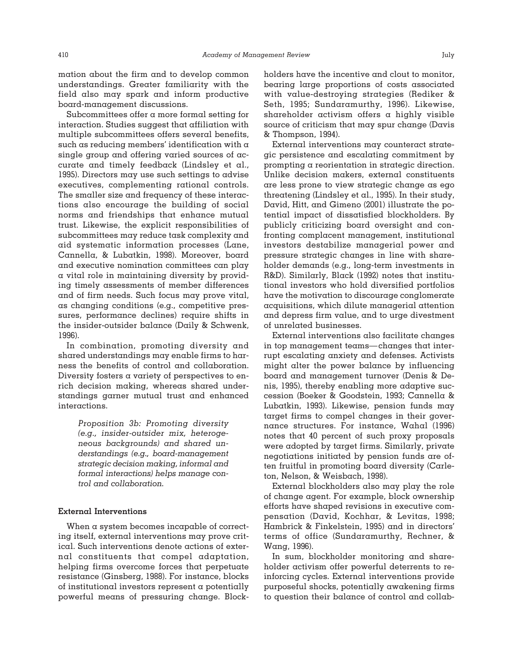mation about the firm and to develop common understandings. Greater familiarity with the field also may spark and inform productive board-management discussions.

Subcommittees offer a more formal setting for interaction. Studies suggest that affiliation with multiple subcommittees offers several benefits, such as reducing members' identification with a single group and offering varied sources of accurate and timely feedback (Lindsley et al., 1995). Directors may use such settings to advise executives, complementing rational controls. The smaller size and frequency of these interactions also encourage the building of social norms and friendships that enhance mutual trust. Likewise, the explicit responsibilities of subcommittees may reduce task complexity and aid systematic information processes (Lane, Cannella, & Lubatkin, 1998). Moreover, board and executive nomination committees can play a vital role in maintaining diversity by providing timely assessments of member differences and of firm needs. Such focus may prove vital, as changing conditions (e.g., competitive pressures, performance declines) require shifts in the insider-outsider balance (Daily & Schwenk, 1996).

In combination, promoting diversity and shared understandings may enable firms to harness the benefits of control and collaboration. Diversity fosters a variety of perspectives to enrich decision making, whereas shared understandings garner mutual trust and enhanced interactions.

> *Proposition 3b: Promoting diversity (e.g., insider-outsider mix, heterogeneous backgrounds) and shared understandings (e.g., board-management strategic decision making, informal and formal interactions) helps manage control and collaboration.*

## **External Interventions**

When a system becomes incapable of correcting itself, external interventions may prove critical. Such interventions denote actions of external constituents that compel adaptation, helping firms overcome forces that perpetuate resistance (Ginsberg, 1988). For instance, blocks of institutional investors represent a potentially powerful means of pressuring change. Blockholders have the incentive and clout to monitor, bearing large proportions of costs associated with value-destroying strategies (Rediker & Seth, 1995; Sundaramurthy, 1996). Likewise, shareholder activism offers a highly visible source of criticism that may spur change (Davis & Thompson, 1994).

External interventions may counteract strategic persistence and escalating commitment by prompting a reorientation in strategic direction. Unlike decision makers, external constituents are less prone to view strategic change as ego threatening (Lindsley et al., 1995). In their study, David, Hitt, and Gimeno (2001) illustrate the potential impact of dissatisfied blockholders. By publicly criticizing board oversight and confronting complacent management, institutional investors destabilize managerial power and pressure strategic changes in line with shareholder demands (e.g., long-term investments in R&D). Similarly, Black (1992) notes that institutional investors who hold diversified portfolios have the motivation to discourage conglomerate acquisitions, which dilute managerial attention and depress firm value, and to urge divestment of unrelated businesses.

External interventions also facilitate changes in top management teams—changes that interrupt escalating anxiety and defenses. Activists might alter the power balance by influencing board and management turnover (Denis & Denis, 1995), thereby enabling more adaptive succession (Boeker & Goodstein, 1993; Cannella & Lubatkin, 1993). Likewise, pension funds may target firms to compel changes in their governance structures. For instance, Wahal (1996) notes that 40 percent of such proxy proposals were adopted by target firms. Similarly, private negotiations initiated by pension funds are often fruitful in promoting board diversity (Carleton, Nelson, & Weisbach, 1998).

External blockholders also may play the role of change agent. For example, block ownership efforts have shaped revisions in executive compensation (David, Kochhar, & Levitas, 1998; Hambrick & Finkelstein, 1995) and in directors' terms of office (Sundaramurthy, Rechner, & Wang, 1996).

In sum, blockholder monitoring and shareholder activism offer powerful deterrents to reinforcing cycles. External interventions provide purposeful shocks, potentially awakening firms to question their balance of control and collab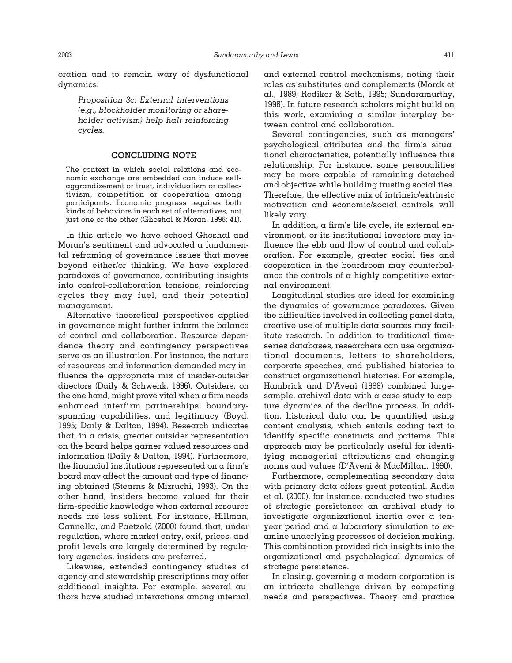oration and to remain wary of dysfunctional dynamics.

> *Proposition 3c: External interventions (e.g., blockholder monitoring or shareholder activism) help halt reinforcing cycles.*

#### **CONCLUDING NOTE**

The context in which social relations and economic exchange are embedded can induce selfaggrandizement or trust, individualism or collectivism, competition or cooperation among participants. Economic progress requires both kinds of behaviors in each set of alternatives, not just one or the other (Ghoshal & Moran, 1996: 41).

In this article we have echoed Ghoshal and Moran's sentiment and advocated a fundamental reframing of governance issues that moves beyond either/or thinking. We have explored paradoxes of governance, contributing insights into control-collaboration tensions, reinforcing cycles they may fuel, and their potential management.

Alternative theoretical perspectives applied in governance might further inform the balance of control and collaboration. Resource dependence theory and contingency perspectives serve as an illustration. For instance, the nature of resources and information demanded may influence the appropriate mix of insider-outsider directors (Daily & Schwenk, 1996). Outsiders, on the one hand, might prove vital when a firm needs enhanced interfirm partnerships, boundaryspanning capabilities, and legitimacy (Boyd, 1995; Daily & Dalton, 1994). Research indicates that, in a crisis, greater outsider representation on the board helps garner valued resources and information (Daily & Dalton, 1994). Furthermore, the financial institutions represented on a firm's board may affect the amount and type of financing obtained (Stearns & Mizruchi, 1993). On the other hand, insiders become valued for their firm-specific knowledge when external resource needs are less salient. For instance, Hillman, Cannella, and Paetzold (2000) found that, under regulation, where market entry, exit, prices, and profit levels are largely determined by regulatory agencies, insiders are preferred.

Likewise, extended contingency studies of agency and stewardship prescriptions may offer additional insights. For example, several authors have studied interactions among internal and external control mechanisms, noting their roles as substitutes and complements (Morck et al., 1989; Rediker & Seth, 1995; Sundaramurthy, 1996). In future research scholars might build on this work, examining a similar interplay between control and collaboration.

Several contingencies, such as managers' psychological attributes and the firm's situational characteristics, potentially influence this relationship. For instance, some personalities may be more capable of remaining detached and objective while building trusting social ties. Therefore, the effective mix of intrinsic/extrinsic motivation and economic/social controls will likely vary.

In addition, a firm's life cycle, its external environment, or its institutional investors may influence the ebb and flow of control and collaboration. For example, greater social ties and cooperation in the boardroom may counterbalance the controls of a highly competitive external environment.

Longitudinal studies are ideal for examining the dynamics of governance paradoxes. Given the difficulties involved in collecting panel data, creative use of multiple data sources may facilitate research. In addition to traditional timeseries databases, researchers can use organizational documents, letters to shareholders, corporate speeches, and published histories to construct organizational histories. For example, Hambrick and D'Aveni (1988) combined largesample, archival data with a case study to capture dynamics of the decline process. In addition, historical data can be quantified using content analysis, which entails coding text to identify specific constructs and patterns. This approach may be particularly useful for identifying managerial attributions and changing norms and values (D'Aveni & MacMillan, 1990).

Furthermore, complementing secondary data with primary data offers great potential. Audia et al. (2000), for instance, conducted two studies of strategic persistence: an archival study to investigate organizational inertia over a tenyear period and a laboratory simulation to examine underlying processes of decision making. This combination provided rich insights into the organizational and psychological dynamics of strategic persistence.

In closing, governing a modern corporation is an intricate challenge driven by competing needs and perspectives. Theory and practice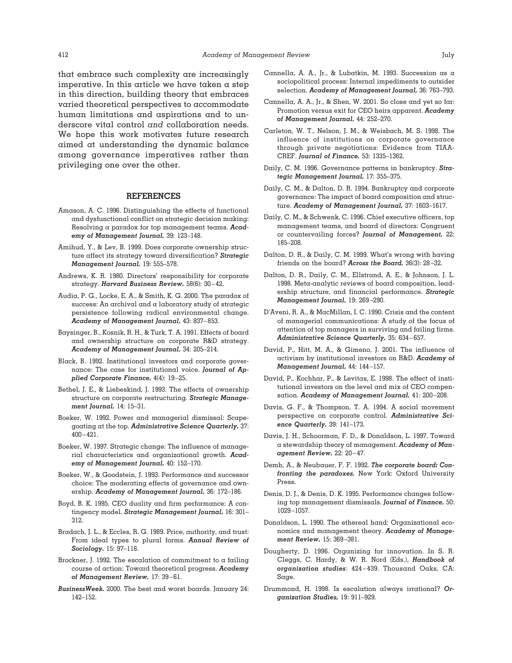that embrace such complexity are increasingly imperative. In this article we have taken a step in this direction, building theory that embraces varied theoretical perspectives to accommodate human limitations and aspirations and to underscore vital control *and* collaboration needs. We hope this work motivates future research aimed at understanding the dynamic balance among governance imperatives rather than privileging one over the other.

## **REFERENCES**

- Amason, A. C. 1996. Distinguishing the effects of functional and dysfunctional conflict on strategic decision making: Resolving a paradox for top management teams. *Academy of Management Journal,* 39: 123–148.
- Amihud, Y., & Lev, B. 1999. Does corporate ownership structure affect its strategy toward diversification? *Strategic Management Journal,* 19: 555–578.
- Andrews, K. R. 1980. Directors' responsibility for corporate strategy. *Harvard Business Review,* 58(6): 30–42.
- Audia, P. G., Locke, E. A., & Smith, K. G. 2000. The paradox of success: An archival and a laboratory study of strategic persistence following radical environmental change. *Academy of Management Journal,* 43: 837–853.
- Baysinger, B., Kosnik, R. H., & Turk, T. A. 1991. Effects of board and ownership structure on corporate R&D strategy. *Academy of Management Journal,* 34: 205–214.
- Black, B. 1992. Institutional investors and corporate governance: The case for institutional voice. *Journal of Applied Corporate Finance,* 4(4): 19–25.
- Bethel, J. E., & Liebeskind, J. 1993. The effects of ownership structure on corporate restructuring. *Strategic Management Journal,* 14: 15–31.
- Boeker, W. 1992. Power and managerial dismissal: Scapegoating at the top. *Administrative Science Quarterly,* 37: 400–421.
- Boeker, W. 1997. Strategic change: The influence of managerial characteristics and organizational growth. *Academy of Management Journal,* 40: 152–170.
- Boeker, W., & Goodstein, J. 1993. Performance and successor choice: The moderating effects of governance and ownership. *Academy of Management Journal,* 36: 172–186.
- Boyd, B. K. 1995. CEO duality and firm performance: A contingency model. *Strategic Management Journal,* 16: 301– 312.
- Bradach, J. L., & Eccles, R. G. 1989. Price, authority, and trust: From ideal types to plural forms. *Annual Review of Sociology,* 15: 97–118.
- Brockner, J. 1992. The escalation of commitment to a failing course of action: Toward theoretical progress. *Academy of Management Review,* 17: 39–61.
- *BusinessWeek.* 2000. The best and worst boards. January 24: 142–152.
- Cannella, A. A., Jr., & Lubatkin, M. 1993. Succession as a sociopolitical process: Internal impediments to outsider selection. *Academy of Management Journal,* 36: 763–793.
- Cannella, A. A., Jr., & Shen, W. 2001. So close and yet so far: Promotion versus exit for CEO heirs apparent. *Academy of Management Journal,* 44: 252–270.
- Carleton, W. T., Nelson, J. M., & Weisbach, M. S. 1998. The influence of institutions on corporate governance through private negotiations: Evidence from TIAA-CREF. *Journal of Finance,* 53: 1335–1362.
- Daily, C. M. 1996. Governance patterns in bankruptcy. *Strategic Management Journal,* 17: 355–375.
- Daily, C. M., & Dalton, D. R. 1994. Bankruptcy and corporate governance: The impact of board composition and structure. *Academy of Management Journal,* 37: 1603–1617.
- Daily, C. M., & Schwenk, C. 1996. Chief executive officers, top management teams, and board of directors: Congruent or countervailing forces? *Journal of Management,* 22: 185–208.
- Dalton, D. R., & Daily, C. M. 1999. What's wrong with having friends on the board? *Across the Board,* 36(3): 28–32.
- Dalton, D. R., Daily, C. M., Ellstrand, A. E., & Johnson, J. L. 1998. Meta-analytic reviews of board composition, leadership structure, and financial performance. *Strategic Management Journal,* 19: 269–290.
- D'Aveni, R. A., & MacMillan, I. C. 1990. Crisis and the content of managerial communications: A study of the focus of attention of top managers in surviving and failing firms. *Administrative Science Quarterly,* 35: 634–657.
- David, P., Hitt, M. A., & Gimeno, J. 2001. The influence of activism by institutional investors on R&D. *Academy of Management Journal,* 44: 144–157.
- David, P., Kochhar, P., & Levitas, E. 1998. The effect of institutional investors on the level and mix of CEO compensation. *Academy of Management Journal,* 41: 200–208.
- Davis, G. F., & Thompson, T. A. 1994. A social movement perspective on corporate control. *Administrative Science Quarterly,* 39: 141–173.
- Davis, J. H., Schoorman, F. D., & Donaldson, L. 1997. Toward a stewardship theory of management. *Academy of Management Review,* 22: 20–47.
- Demb, A., & Neubauer, F. F. 1992. *The corporate board: Confronting the paradoxes.* New York: Oxford University Press.
- Denis, D. J., & Denis, D. K. 1995. Performance changes following top management dismissals. *Journal of Finance,* 50: 1029–1057.
- Donaldson, L. 1990. The ethereal hand: Organizational economics and management theory. *Academy of Management Review,* 15: 369–381.
- Dougherty, D. 1996. Organizing for innovation. In S. R. Cleggs, C. Hardy, & W. R. Nord (Eds.), *Handbook of organization studies*: 424 – 439. Thousand Oaks, CA: Sage.
- Drummond, H. 1998. Is escalation always irrational? *Organization Studies,* 19: 911–929.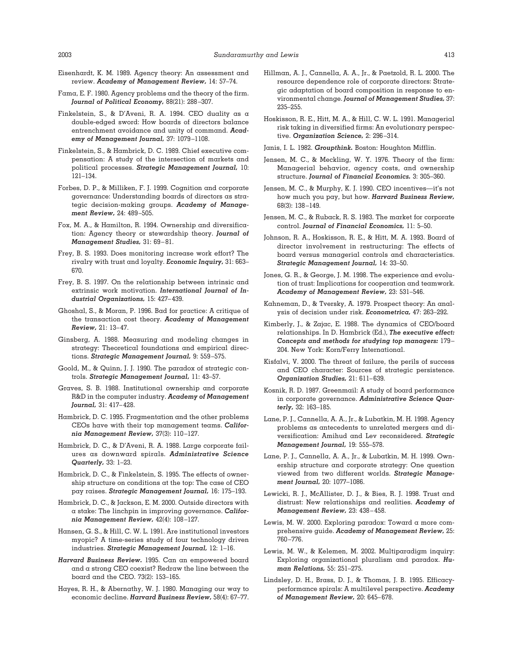- Eisenhardt, K. M. 1989. Agency theory: An assessment and review. *Academy of Management Review,* 14: 57–74.
- Fama, E. F. 1980. Agency problems and the theory of the firm. *Journal of Political Economy,* 88(21): 288–307.
- Finkelstein, S., & D'Aveni, R. A. 1994. CEO duality as a double-edged sword: How boards of directors balance entrenchment avoidance and unity of command. *Academy of Management Journal,* 37: 1079–1108.
- Finkelstein, S., & Hambrick, D. C. 1989. Chief executive compensation: A study of the intersection of markets and political processes. *Strategic Management Journal,* 10: 121–134.
- Forbes, D. P., & Milliken, F. J. 1999. Cognition and corporate governance: Understanding boards of directors as strategic decision-making groups. *Academy of Management Review,* 24: 489–505.
- Fox, M. A., & Hamilton, R. 1994. Ownership and diversification: Agency theory or stewardship theory. *Journal of Management Studies,* 31: 69–81.
- Frey, B. S. 1993. Does monitoring increase work effort? The rivalry with trust and loyalty. *Economic Inquiry,* 31: 663– 670.
- Frey, B. S. 1997. On the relationship between intrinsic and extrinsic work motivation. *International Journal of Industrial Organizations,* 15: 427–439.
- Ghoshal, S., & Moran, P. 1996. Bad for practice: A critique of the transaction cost theory. *Academy of Management Review,* 21: 13–47.
- Ginsberg, A. 1988. Measuring and modeling changes in strategy: Theoretical foundations and empirical directions. *Strategic Management Journal,* 9: 559–575.
- Goold, M., & Quinn, J. J. 1990. The paradox of strategic controls. *Strategic Management Journal,* 11: 43–57.
- Graves, S. B. 1988. Institutional ownership and corporate R&D in the computer industry. *Academy of Management Journal,* 31: 417–428.
- Hambrick, D. C. 1995. Fragmentation and the other problems CEOs have with their top management teams. *California Management Review,* 37(3): 110–127.
- Hambrick, D. C., & D'Aveni, R. A. 1988. Large corporate failures as downward spirals. *Administrative Science Quarterly,* 33: 1–23.
- Hambrick, D. C., & Finkelstein, S. 1995. The effects of ownership structure on conditions at the top: The case of CEO pay raises. *Strategic Management Journal,* 16: 175–193.
- Hambrick, D. C., & Jackson, E. M. 2000. Outside directors with a stake: The linchpin in improving governance. *California Management Review,* 42(4): 108–127.
- Hansen, G. S., & Hill, C. W. L. 1991. Are institutional investors myopic? A time-series study of four technology driven industries. *Strategic Management Journal,* 12: 1–16.
- *Harvard Business Review.* 1995. Can an empowered board and a strong CEO coexist? Redraw the line between the board and the CEO. 73(2): 153–165.
- Hayes, R. H., & Abernathy, W. J. 1980. Managing our way to economic decline. *Harvard Business Review,* 58(4): 67–77.
- Hillman, A. J., Cannella, A. A., Jr., & Paetzold, R. L. 2000. The resource dependence role of corporate directors: Strategic adaptation of board composition in response to environmental change. *Journal of Management Studies,* 37: 235–255.
- Hoskisson, R. E., Hitt, M. A., & Hill, C. W. L. 1991. Managerial risk taking in diversified firms: An evolutionary perspective. *Organization Science,* 2: 296–314.
- Janis, I. L. 1982. *Groupthink.* Boston: Houghton Mifflin.
- Jensen, M. C., & Meckling, W. Y. 1976. Theory of the firm: Managerial behavior, agency costs, and ownership structure. *Journal of Financial Economics.* 3: 305–360.
- Jensen, M. C., & Murphy, K. J. 1990. CEO incentives—it's not how much you pay, but how. *Harvard Business Review,* 68(3): 138–149.
- Jensen, M. C., & Ruback, R. S. 1983. The market for corporate control. *Journal of Financial Economics,* 11: 5–50.
- Johnson, R. A., Hoskisson, R. E., & Hitt, M. A. 1993. Board of director involvement in restructuring: The effects of board versus managerial controls and characteristics. *Strategic Management Journal,* 14: 33–50.
- Jones, G. R., & George, J. M. 1998. The experience and evolution of trust: Implications for cooperation and teamwork. *Academy of Management Review,* 23: 531–546.
- Kahneman, D., & Tversky, A. 1979. Prospect theory: An analysis of decision under risk. *Econometrica,* 47: 263–292.
- Kimberly, J., & Zajac, E. 1988. The dynamics of CEO/board relationships. In D. Hambrick (Ed.), *The executive effect: Concepts and methods for studying top managers:* 179– 204. New York: Korn/Ferry International.
- Kisfalvi, V. 2000. The threat of failure, the perils of success and CEO character: Sources of strategic persistence. *Organization Studies,* 21: 611–639.
- Kosnik, R. D. 1987. Greenmail: A study of board performance in corporate governance. *Administrative Science Quarterly,* 32: 163–185.
- Lane, P. J., Cannella, A. A., Jr., & Lubatkin, M. H. 1998. Agency problems as antecedents to unrelated mergers and diversification: Amihud and Lev reconsidered. *Strategic Management Journal,* 19: 555–578.
- Lane, P. J., Cannella, A. A., Jr., & Lubatkin, M. H. 1999. Ownership structure and corporate strategy: One question viewed from two different worlds. *Strategic Management Journal,* 20: 1077–1086.
- Lewicki, R. J., McAllister, D. J., & Bies, R. J. 1998. Trust and distrust: New relationships and realities. *Academy of Management Review,* 23: 438–458.
- Lewis, M. W. 2000. Exploring paradox: Toward a more comprehensive guide. *Academy of Management Review,* 25: 760–776.
- Lewis, M. W., & Kelemen, M. 2002. Multiparadigm inquiry: Exploring organizational pluralism and paradox. *Human Relations,* 55: 251–275.
- Lindsley, D. H., Brass, D. J., & Thomas, J. B. 1995. Efficacyperformance spirals: A multilevel perspective. *Academy of Management Review,* 20: 645–678.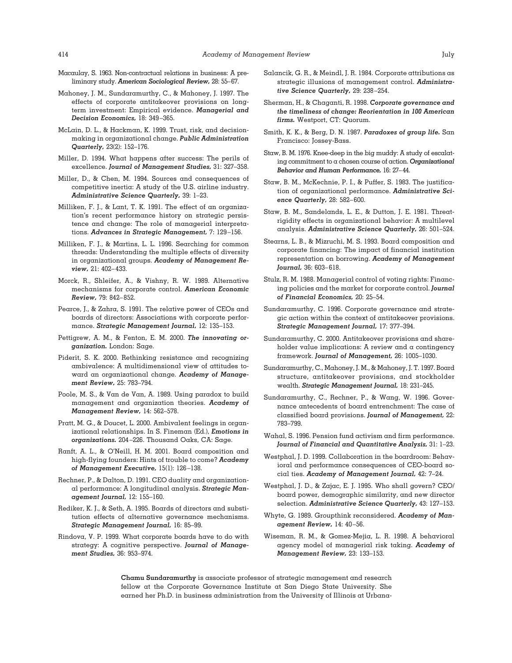- Macaulay, S. 1963. Non-contractual relations in business: A preliminary study. *American Sociological Review,* 28: 55–67.
- Mahoney, J. M., Sundaramurthy, C., & Mahoney, J. 1997. The effects of corporate antitakeover provisions on longterm investment: Empirical evidence. *Managerial and Decision Economics,* 18: 349–365.
- McLain, D. L., & Hackman, K. 1999. Trust, risk, and decisionmaking in organizational change. *Public Administration Quarterly,* 23(2): 152–176.
- Miller, D. 1994. What happens after success: The perils of excellence. *Journal of Management Studies,* 31: 327–358.
- Miller, D., & Chen, M. 1994. Sources and consequences of competitive inertia: A study of the U.S. airline industry. *Administrative Science Quarterly,* 39: 1–23.
- Milliken, F. J., & Lant, T. K. 1991. The effect of an organization's recent performance history on strategic persistence and change: The role of managerial interpretations. *Advances in Strategic Management,* 7: 129–156.
- Milliken, F. J., & Martins, L. L. 1996. Searching for common threads: Understanding the multiple effects of diversity in organizational groups. *Academy of Management Review,* 21: 402–433.
- Morck, R., Shleifer, A., & Vishny, R. W. 1989. Alternative mechanisms for corporate control. *American Economic Review,* 79: 842–852.
- Pearce, J., & Zahra, S. 1991. The relative power of CEOs and boards of directors: Associations with corporate performance. *Strategic Management Journal,* 12: 135–153.
- Pettigrew, A. M., & Fenton, E. M. 2000. *The innovating organization.* London: Sage.
- Piderit, S. K. 2000. Rethinking resistance and recognizing ambivalence: A multidimensional view of attitudes toward an organizational change. *Academy of Management Review,* 25: 783–794.
- Poole, M. S., & Van de Van, A. 1989. Using paradox to build management and organization theories. *Academy of Management Review,* 14: 562–578.
- Pratt, M. G., & Doucet, L. 2000. Ambivalent feelings in organizational relationships. In S. Fineman (Ed.), *Emotions in organizations.* 204–226. Thousand Oaks, CA: Sage.
- Ranft, A. L., & O'Neill, H. M. 2001. Board composition and high-flying founders: Hints of trouble to come? *Academy of Management Executive,* 15(1): 126–138.
- Rechner, P., & Dalton, D. 1991. CEO duality and organizational performance: A longitudinal analysis. *Strategic Management Journal,* 12: 155–160.
- Rediker, K. J., & Seth, A. 1995. Boards of directors and substitution effects of alternative governance mechanisms. *Strategic Management Journal,* 16: 85–99.
- Rindova, V. P. 1999. What corporate boards have to do with strategy: A cognitive perspective. *Journal of Management Studies,* 36: 953–974.
- Salancik, G. R., & Meindl, J. R. 1984. Corporate attributions as strategic illusions of management control. *Administrative Science Quarterly,* 29: 238–254.
- Sherman, H., & Chaganti, R. 1998. *Corporate governance and the timeliness of change: Reorientation in 100 American firms.* Westport, CT: Quorum.
- Smith, K. K., & Berg, D. N. 1987. *Paradoxes of group life.* San Francisco: Jossey-Bass.
- Staw, B. M. 1976. Knee-deep in the big muddy: A study of escalating commitment to a chosen course of action. *Organizational Behavior and Human Performance,* 16: 27–44.
- Staw, B. M., McKechnie, P. I., & Puffer, S. 1983. The justification of organizational performance. *Administrative Science Quarterly,* 28: 582–600.
- Staw, B. M., Sandelands, L. E., & Dutton, J. E. 1981. Threatrigidity effects in organizational behavior: A multilevel analysis. *Administrative Science Quarterly,* 26: 501–524.
- Stearns, L. B., & Mizruchi, M. S. 1993. Board composition and corporate financing: The impact of financial institution representation on borrowing. *Academy of Management Journal,* 36: 603–618.
- Stulz, R. M. 1988. Managerial control of voting rights: Financing policies and the market for corporate control. *Journal of Financial Economics,* 20: 25–54.
- Sundaramurthy, C. 1996. Corporate governance and strategic action within the context of antitakeover provisions. *Strategic Management Journal,* 17: 377–394.
- Sundaramurthy, C. 2000. Antitakeover provisions and shareholder value implications: A review and a contingency framework. *Journal of Management,* 26: 1005–1030.
- Sundaramurthy, C., Mahoney, J. M., & Mahoney, J. T. 1997. Board structure, antitakeover provisions, and stockholder wealth. *Strategic Management Journal,* 18: 231–245.
- Sundaramurthy, C., Rechner, P., & Wang, W. 1996. Governance antecedents of board entrenchment: The case of classified board provisions. *Journal of Management,* 22: 783–799.
- Wahal, S. 1996. Pension fund activism and firm performance. *Journal of Financial and Quantitative Analysis,* 31: 1–23.
- Westphal, J. D. 1999. Collaboration in the boardroom: Behavioral and performance consequences of CEO-board social ties. *Academy of Management Journal,* 42: 7–24.
- Westphal, J. D., & Zajac, E. J. 1995. Who shall govern? CEO/ board power, demographic similarity, and new director selection. *Administrative Science Quarterly,* 43: 127–153.
- Whyte, G. 1989. Groupthink reconsidered. *Academy of Management Review,* 14: 40–56.
- Wiseman, R. M., & Gomez-Mejia, L. R. 1998. A behavioral agency model of managerial risk taking. *Academy of Management Review,* 23: 133–153.

**Chamu Sundaramurthy** is associate professor of strategic management and research fellow at the Corporate Governance Institute at San Diego State University. She earned her Ph.D. in business administration from the University of Illinois at Urbana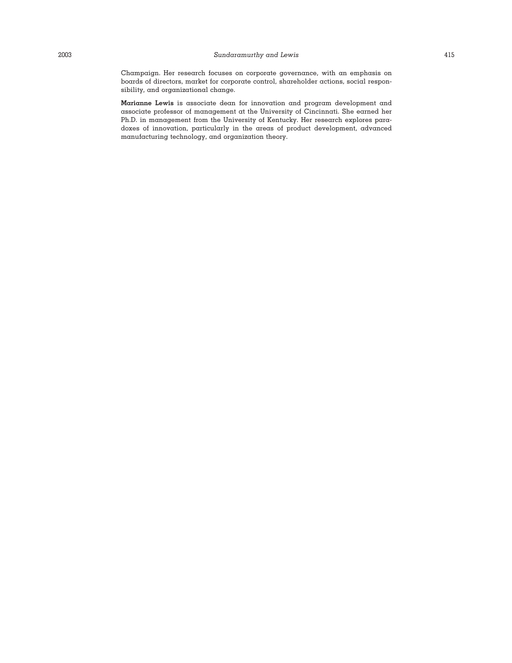2003 *Sundaramurthy and Lewis* 415

Champaign. Her research focuses on corporate governance, with an emphasis on boards of directors, market for corporate control, shareholder actions, social responsibility, and organizational change.

**Marianne Lewis** is associate dean for innovation and program development and associate professor of management at the University of Cincinnati. She earned her Ph.D. in management from the University of Kentucky. Her research explores paradoxes of innovation, particularly in the areas of product development, advanced manufacturing technology, and organization theory.